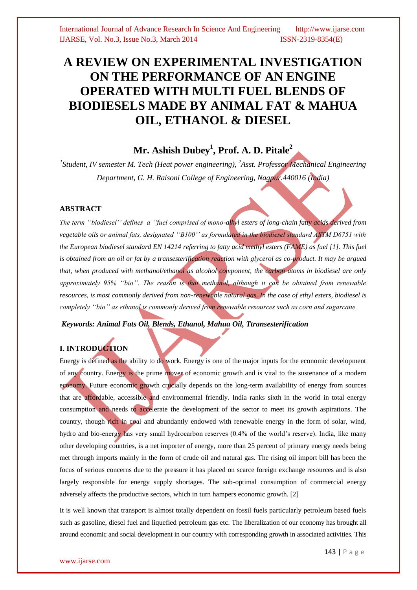# **A REVIEW ON EXPERIMENTAL INVESTIGATION ON THE PERFORMANCE OF AN ENGINE OPERATED WITH MULTI FUEL BLENDS OF BIODIESELS MADE BY ANIMAL FAT & MAHUA OIL, ETHANOL & DIESEL**

## **Mr. Ashish Dubey<sup>1</sup> , Prof. A. D. Pitale<sup>2</sup>**

<sup>1</sup>Student, IV semester M. Tech (Heat power engineering), <sup>2</sup>Asst. Professor Mechanical Engineering *Department, G. H. Raisoni College of Engineering, Nagpur.440016 (India)*

#### **ABSTRACT**

*The term ''biodiesel'' defines a ''fuel comprised of mono-alkyl esters of long-chain fatty acids derived from vegetable oils or animal fats, designated ''B100'' as formulated in the biodiesel standard ASTM D6751 with the European biodiesel standard EN 14214 referring to fatty acid methyl esters (FAME) as fuel [1]. This fuel is obtained from an oil or fat by a transesterification reaction with glycerol as co-product. It may be argued that, when produced with methanol/ethanol as alcohol component, the carbon atoms in biodiesel are only approximately 95% ''bio''. The reason is that methanol, although it can be obtained from renewable resources, is most commonly derived from non-renewable natural gas. In the case of ethyl esters, biodiesel is completely ''bio'' as ethanol is commonly derived from renewable resources such as corn and sugarcane.*

*Keywords: Animal Fats Oil, Blends, Ethanol, Mahua Oil, Ttransesterification*

## **I. INTRODUCTION**

Energy is defined as the ability to do work. Energy is one of the major inputs for the economic development of any country. Energy is the prime mover of economic growth and is vital to the sustenance of a modern economy. Future economic growth crucially depends on the long-term availability of energy from sources that are affordable, accessible and environmental friendly. India ranks sixth in the world in total energy consumption and needs to accelerate the development of the sector to meet its growth aspirations. The country, though rich in coal and abundantly endowed with renewable energy in the form of solar, wind, hydro and bio-energy has very small hydrocarbon reserves (0.4% of the world's reserve). India, like many other developing countries, is a net importer of energy, more than 25 percent of primary energy needs being met through imports mainly in the form of crude oil and natural gas. The rising oil import bill has been the focus of serious concerns due to the pressure it has placed on scarce foreign exchange resources and is also largely responsible for energy supply shortages. The sub-optimal consumption of commercial energy adversely affects the productive sectors, which in turn hampers economic growth. [2]

It is well known that transport is almost totally dependent on fossil fuels particularly petroleum based fuels such as gasoline, diesel fuel and liquefied petroleum gas etc. The liberalization of our economy has brought all around economic and social development in our country with corresponding growth in associated activities. This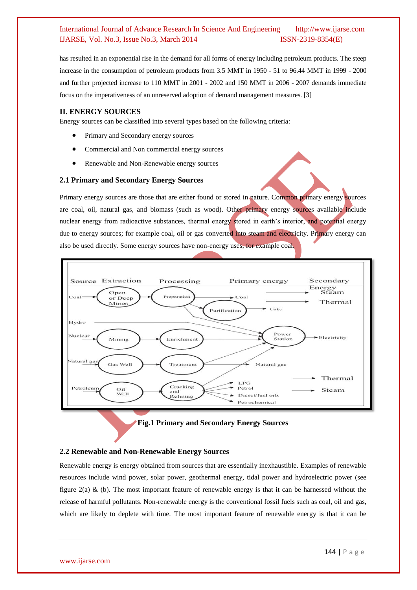has resulted in an exponential rise in the demand for all forms of energy including petroleum products. The steep increase in the consumption of petroleum products from 3.5 MMT in 1950 - 51 to 96.44 MMT in 1999 - 2000 and further projected increase to 110 MMT in 2001 - 2002 and 150 MMT in 2006 - 2007 demands immediate focus on the imperativeness of an unreserved adoption of demand management measures. [3]

#### **II. ENERGY SOURCES**

Energy sources can be classified into several types based on the following criteria:

- Primary and Secondary energy sources
- Commercial and Non commercial energy sources
- Renewable and Non-Renewable energy sources

#### **2.1 Primary and Secondary Energy Sources**

Primary energy sources are those that are either found or stored in nature. Common primary energy sources are coal, oil, natural gas, and biomass (such as wood). Other primary energy sources available include nuclear energy from radioactive substances, thermal energy stored in earth's interior, and potential energy due to energy sources; for example coal, oil or gas converted into steam and electricity. Primary energy can also be used directly. Some energy sources have non-energy uses, for example coal.



**Fig.1 Primary and Secondary Energy Sources**

#### **2.2 Renewable and Non-Renewable Energy Sources**

Renewable energy is energy obtained from sources that are essentially inexhaustible. Examples of renewable resources include wind power, solar power, geothermal energy, tidal power and hydroelectric power (see figure  $2(a) \&$  (b). The most important feature of renewable energy is that it can be harnessed without the release of harmful pollutants. Non-renewable energy is the conventional fossil fuels such as coal, oil and gas, which are likely to deplete with time. The most important feature of renewable energy is that it can be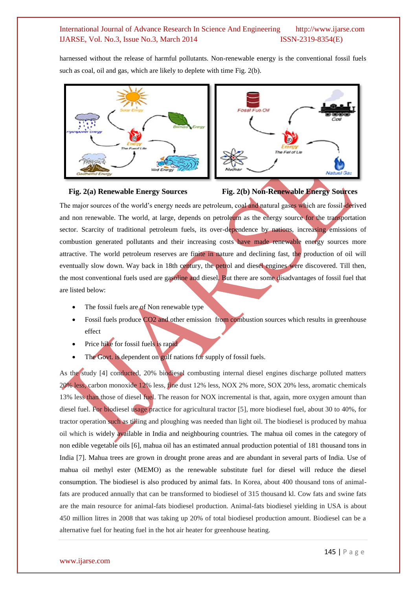harnessed without the release of harmful pollutants. Non-renewable energy is the conventional fossil fuels such as coal, oil and gas, which are likely to deplete with time Fig. 2(b).







The major sources of the world's energy needs are petroleum, coal and natural gases which are fossil-derived and non renewable. The world, at large, depends on petroleum as the energy source for the transportation sector. Scarcity of traditional petroleum fuels, its over-dependence by nations, increasing emissions of combustion generated pollutants and their increasing costs have made renewable energy sources more attractive. The world petroleum reserves are finite in nature and declining fast, the production of oil will eventually slow down. Way back in 18th century, the petrol and diesel engines were discovered. Till then, the most conventional fuels used are gasoline and diesel. But there are some disadvantages of fossil fuel that are listed below:

- The fossil fuels are of Non renewable type
- Fossil fuels produce CO2 and other emission from combustion sources which results in greenhouse effect
- Price hike for fossil fuels is rapid
- The Govt. is dependent on gulf nations for supply of fossil fuels.

As the study [4] conducted, 20% biodiesel combusting internal diesel engines discharge polluted matters 20% less, carbon monoxide 12% less, fine dust 12% less, NOX 2% more, SOX 20% less, aromatic chemicals 13% less than those of diesel fuel. The reason for NOX incremental is that, again, more oxygen amount than diesel fuel. For biodiesel usage practice for agricultural tractor [5], more biodiesel fuel, about 30 to 40%, for tractor operation such as tilling and ploughing was needed than light oil. The biodiesel is produced by mahua oil which is widely available in India and neighbouring countries. The mahua oil comes in the category of non edible vegetable oils [6], mahua oil has an estimated annual production potential of 181 thousand tons in India [7]. Mahua trees are grown in drought prone areas and are abundant in several parts of India. Use of mahua oil methyl ester (MEMO) as the renewable substitute fuel for diesel will reduce the diesel consumption. The biodiesel is also produced by animal fats. In Korea, about 400 thousand tons of animalfats are produced annually that can be transformed to biodiesel of 315 thousand kl. Cow fats and swine fats are the main resource for animal-fats biodiesel production. Animal-fats biodiesel yielding in USA is about 450 million litres in 2008 that was taking up 20% of total biodiesel production amount. Biodiesel can be a alternative fuel for heating fuel in the hot air heater for greenhouse heating.

#### www.ijarse.com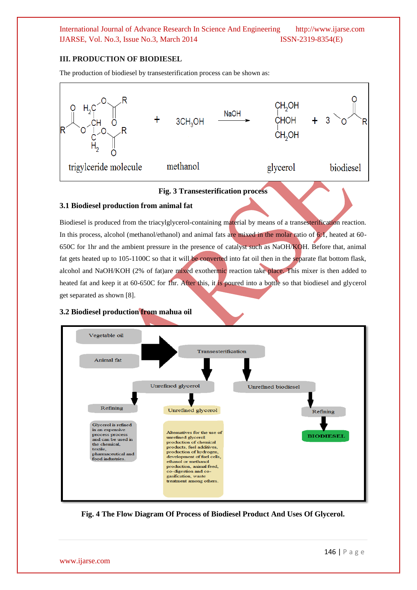### **III. PRODUCTION OF BIODIESEL**

The production of biodiesel by transesterification process can be shown as:



## **Fig. 3 Transesterification process**

#### **3.1 Biodiesel production from animal fat**

Biodiesel is produced from the triacylglycerol-containing material by means of a transesterification reaction. In this process, alcohol (methanol/ethanol) and animal fats are mixed in the molar ratio of 6:1, heated at 60- 650C for 1hr and the ambient pressure in the presence of catalyst such as NaOH/KOH. Before that, animal fat gets heated up to 105-1100C so that it will be converted into fat oil then in the separate flat bottom flask, alcohol and NaOH/KOH (2% of fat)are mixed exothermic reaction take place. This mixer is then added to heated fat and keep it at 60-650C for 1hr. After this, it is poured into a bottle so that biodiesel and glycerol get separated as shown [8].

#### **3.2 Biodiesel production from mahua oil**



**Fig. 4 The Flow Diagram Of Process of Biodiesel Product And Uses Of Glycerol.**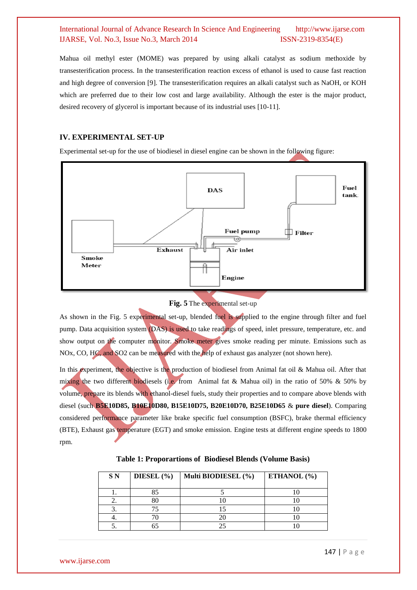Mahua oil methyl ester (MOME) was prepared by using alkali catalyst as sodium methoxide by transesterification process. In the transesterification reaction excess of ethanol is used to cause fast reaction and high degree of conversion [9]. The transesterification requires an alkali catalyst such as NaOH, or KOH which are preferred due to their low cost and large availability. Although the ester is the major product, desired recovery of glycerol is important because of its industrial uses [10-11].

#### **IV. EXPERIMENTAL SET-UP**

Experimental set-up for the use of biodiesel in diesel engine can be shown in the following figure:





As shown in the Fig. 5 experimental set-up, blended fuel is supplied to the engine through filter and fuel pump. Data acquisition system (DAS) is used to take readings of speed, inlet pressure, temperature, etc. and show output on the computer monitor. Smoke meter gives smoke reading per minute. Emissions such as NOx, CO, HC, and SO2 can be measured with the help of exhaust gas analyzer (not shown here).

In this experiment, the objective is the production of biodiesel from Animal fat oil & Mahua oil. After that mixing the two different biodiesels (i.e. from Animal fat & Mahua oil) in the ratio of 50%  $\&$  50% by volume, prepare its blends with ethanol-diesel fuels, study their properties and to compare above blends with diesel (such **B5E10D85, B10E10D80, B15E10D75, B20E10D70, B25E10D65** & **pure diesel**). Comparing considered performance parameter like brake specific fuel consumption (BSFC), brake thermal efficiency (BTE), Exhaust gas temperature (EGT) and smoke emission. Engine tests at different engine speeds to 1800 rpm.

| S N | DIESEL $(\% )$ | Multi BIODIESEL (%) | ETHANOL $(\% )$ |
|-----|----------------|---------------------|-----------------|
|     |                |                     |                 |
|     |                |                     |                 |
|     |                |                     |                 |
|     |                |                     |                 |
|     |                |                     |                 |

| Table 1: Proporartions of Biodiesel Blends (Volume Basis) |  |
|-----------------------------------------------------------|--|
|-----------------------------------------------------------|--|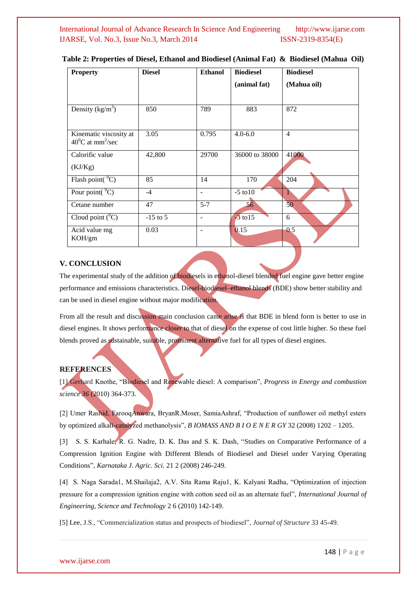| <b>Property</b>                                                  | <b>Diesel</b> | <b>Ethanol</b>           | <b>Biodiesel</b> | <b>Biodiesel</b> |
|------------------------------------------------------------------|---------------|--------------------------|------------------|------------------|
|                                                                  |               |                          | (animal fat)     | (Mahua oil)      |
|                                                                  |               |                          |                  |                  |
| Density $(kg/m^3)$                                               | 850           | 789                      | 883              | 872              |
|                                                                  |               |                          |                  |                  |
| Kinematic viscosity at<br>$40^{\circ}$ C at mm <sup>2</sup> /sec | 3.05          | 0.795                    | $4.0 - 6.0$      | $\overline{4}$   |
|                                                                  |               |                          |                  |                  |
| Calorific value                                                  | 42,800        | 29700                    | 36000 to 38000   | 41000            |
| (KJ/Kg)                                                          |               |                          |                  |                  |
| Flash point( ${}^{0}C$ )                                         | 85            | 14                       | 170              | 204              |
| Pour point( ${}^{0}C$ )                                          | $-4$          | $\overline{\phantom{a}}$ | $-5$ to $10$     | 1                |
| Cetane number                                                    | 47            | $5 - 7$                  | 56 <sup>°</sup>  | 50               |
| Cloud point $(^0C)$                                              | $-15$ to 5    | $\qquad \qquad -$        | $-3$ to 15       | 6                |
| Acid value mg<br>KOH/gm                                          | 0.03          | ٠                        | 0.15             | 0.5              |
|                                                                  |               |                          |                  |                  |

**Table 2: Properties of Diesel, Ethanol and Biodiesel (Animal Fat) & Biodiesel (Mahua Oil)**

#### **V. CONCLUSION**

The experimental study of the addition of biodiesels in ethanol-diesel blended fuel engine gave better engine performance and emissions characteristics. Diesel-biodiesel–ethanol blends (BDE) show better stability and can be used in diesel engine without major modification.

From all the result and discussion main conclusion came arise is that BDE in blend form is better to use in diesel engines. It shows performance closer to that of diesel on the expense of cost little higher. So these fuel blends proved as sustainable, suitable, prominent alternative fuel for all types of diesel engines.

#### **REFERENCES**

[1] Gerhard Knothe, "Biodiesel and Renewable diesel: A comparison", *Progress in Energy and combustion science 36* (2010) 364-373.

[2] Umer Rashid, FarooqAnwara, BryanR.Moser, SamiaAshraf, "Production of sunflower oil methyl esters by optimized alkali-catalyzed methanolysis", *B IOMASS AND B I O E N E R GY* 32 (2008) 1202 – 1205.

[3] S. S. Karhale, R. G. Nadre, D. K. Das and S. K. Dash, "Studies on Comparative Performance of a Compression Ignition Engine with Different Blends of Biodiesel and Diesel under Varying Operating Conditions", *Karnataka J. Agric. Sci.* 21 2 (2008) 246-249.

[4] S. Naga Sarada1, M.Shailaja2, A.V. Sita Rama Raju1, K. Kalyani Radha, "Optimization of injection pressure for a compression ignition engine with cotton seed oil as an alternate fuel", *International Journal of Engineering, Science and Technology* 2 6 (2010) 142-149.

[5] Lee, J.S., "Commercialization status and prospects of biodiesel", *Journal of Structure* 33 45-49.